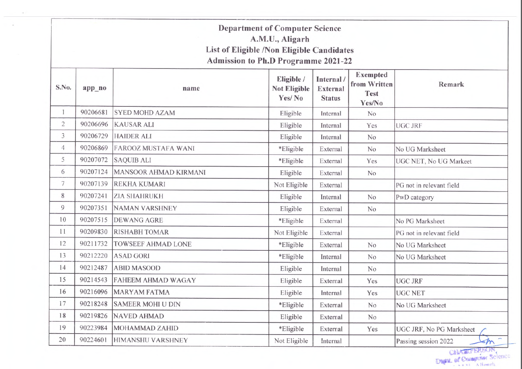## Department of Computer Science A.M.U., Aligarh List of Eligible /Non Eligible Candidates Admission to Ph.D Programme 2021-22

| S.No.          | app_no   | name                         | Eligible /<br><b>Not Eligible</b><br>Yes/No | Internal /<br><b>External</b><br><b>Status</b> | <b>Exempted</b><br>from Written<br><b>Test</b><br>Yes/No | <b>Remark</b>                   |
|----------------|----------|------------------------------|---------------------------------------------|------------------------------------------------|----------------------------------------------------------|---------------------------------|
| 1              | 90206681 | <b>SYED MOHD AZAM</b>        | Eligible                                    | Internal                                       | No                                                       |                                 |
| $\overline{c}$ | 90206696 | <b>KAUSAR ALI</b>            | Eligible                                    | Internal                                       | Yes                                                      | <b>UGC JRF</b>                  |
| 3              | 90206729 | <b>HAIDER ALI</b>            | Eligible                                    | Internal                                       | No                                                       |                                 |
| $\overline{4}$ | 90206869 | <b>FAROOZ MUSTAFA WANI</b>   | *Eligible                                   | External                                       | No                                                       | No UG Marksheet                 |
| 5              | 90207072 | <b>SAQUIB ALI</b>            | *Eligible                                   | External                                       | Yes                                                      | UGC NET, No UG Markeet          |
| 6              | 90207124 | <b>MANSOOR AHMAD KIRMANI</b> | Eligible                                    | External                                       | No                                                       |                                 |
| 7              | 90207139 | <b>REKHA KUMARI</b>          | Not Eligible                                | External                                       |                                                          | PG not in relevant field        |
| 8              | 90207241 | <b>ZIA SHAHRUKH</b>          | Eligible                                    | Internal                                       | No                                                       | PwD category                    |
| 9              | 90207351 | <b>NAMAN VARSHNEY</b>        | Eligible                                    | External                                       | No                                                       |                                 |
| 10             | 90207515 | <b>DEWANG AGRE</b>           | *Eligible                                   | External                                       |                                                          | No PG Marksheet                 |
| 11             | 90209830 | <b>RISHABH TOMAR</b>         | Not Eligible                                | External                                       |                                                          | PG not in relevant field        |
| 12             | 90211732 | <b>TOWSEEF AHMAD LONE</b>    | *Eligible                                   | External                                       | No                                                       | No UG Marksheet                 |
| 13             | 90212220 | <b>ASAD GORI</b>             | *Eligible                                   | Internal                                       | N <sub>o</sub>                                           | No UG Marksheet                 |
| 14             | 90212487 | <b>ABID MASOOD</b>           | Eligible                                    | Internal                                       | N <sub>o</sub>                                           |                                 |
| 15             | 90214543 | FAHEEM AHMAD WAGAY           | Eligible                                    | External                                       | Yes                                                      | <b>UGC JRF</b>                  |
| 16             | 90216096 | <b>MARYAM FATMA</b>          | Eligible                                    | Internal                                       | Yes                                                      | <b>UGC NET</b>                  |
| 17             | 90218248 | <b>SAMEER MOHI U DIN</b>     | *Eligible                                   | External                                       | N <sub>o</sub>                                           | No UG Marksheet                 |
| 18             | 90219826 | <b>NAVED AHMAD</b>           | Eligible                                    | External                                       | N <sub>o</sub>                                           |                                 |
| 19             | 90223984 | <b>MOHAMMAD ZAHID</b>        | *Eligible                                   | External                                       | Yes                                                      | UGC JRF, No PG Marksheet        |
| 20             | 90224601 | HIMANSHU VARSHNEY            | Not Eligible                                | Internal                                       |                                                          | ÷<br>Passing session 2022<br>≤m |

CHASEF BREAM